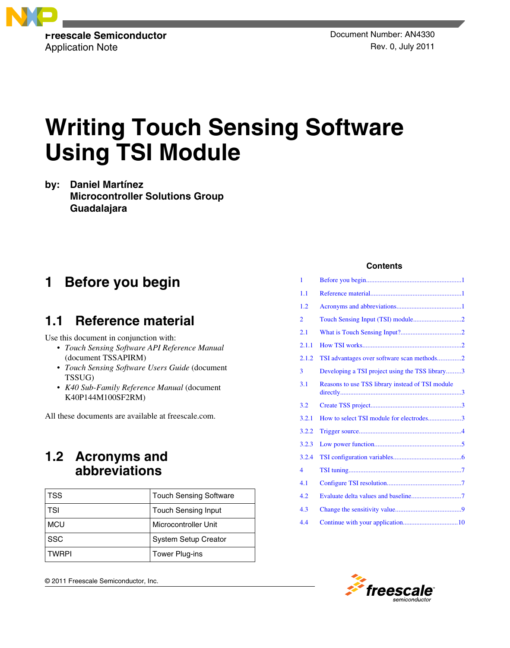

# **Writing Touch Sensing Software Using TSI Module**

**by: Daniel Martínez Microcontroller Solutions Group Guadalajara**

## **1 Before you begin**

## **1.1 Reference material**

Use this document in conjunction with:

- *Touch Sensing Software API Reference Manual* (document TSSAPIRM)
- *Touch Sensing Software Users Guide* (document TSSUG)
- *K40 Sub-Family Reference Manual* (document K40P144M100SF2RM)

All these documents are available at freescale.com.

## **1.2 Acronyms and abbreviations**

| <b>TSS</b>   | <b>Touch Sensing Software</b> |
|--------------|-------------------------------|
| <b>TSI</b>   | <b>Touch Sensing Input</b>    |
| <b>MCU</b>   | Microcontroller Unit          |
| <b>SSC</b>   | <b>System Setup Creator</b>   |
| <b>TWRPI</b> | Tower Plug-ins                |

© 2011 Freescale Semiconductor, Inc.

## **Contents**

| 1     |                                                  |  |
|-------|--------------------------------------------------|--|
| 1.1   |                                                  |  |
| 1.2   |                                                  |  |
| 2     |                                                  |  |
| 2.1   |                                                  |  |
| 2.1.1 |                                                  |  |
| 2.1.2 | TSI advantages over software scan methods2       |  |
| 3     | Developing a TSI project using the TSS library3  |  |
| 3.1   | Reasons to use TSS library instead of TSI module |  |
| 3.2   |                                                  |  |
| 3.2.1 | How to select TSI module for electrodes3         |  |
| 3.2.2 |                                                  |  |
| 3.2.3 |                                                  |  |
| 3.2.4 |                                                  |  |
| 4     |                                                  |  |
| 4.1   |                                                  |  |
| 4.2   |                                                  |  |
| 4.3   |                                                  |  |
| 4.4   |                                                  |  |

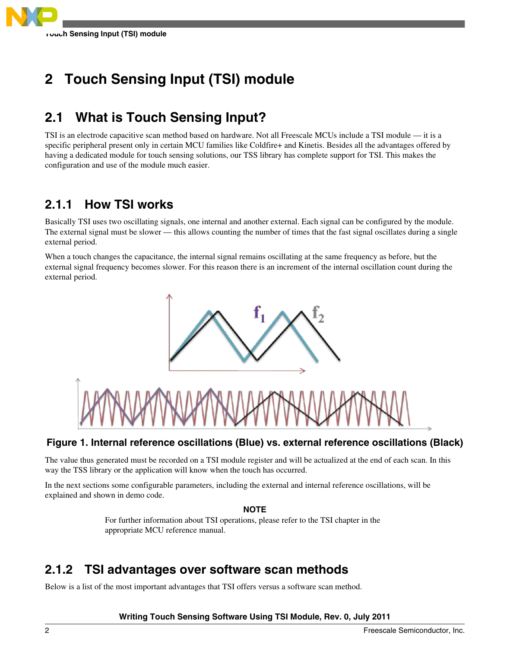<span id="page-1-0"></span>

## **2 Touch Sensing Input (TSI) module**

## **2.1 What is Touch Sensing Input?**

TSI is an electrode capacitive scan method based on hardware. Not all Freescale MCUs include a TSI module — it is a specific peripheral present only in certain MCU families like Coldfire+ and Kinetis. Besides all the advantages offered by having a dedicated module for touch sensing solutions, our TSS library has complete support for TSI. This makes the configuration and use of the module much easier.

## **2.1.1 How TSI works**

Basically TSI uses two oscillating signals, one internal and another external. Each signal can be configured by the module. The external signal must be slower — this allows counting the number of times that the fast signal oscillates during a single external period.

When a touch changes the capacitance, the internal signal remains oscillating at the same frequency as before, but the external signal frequency becomes slower. For this reason there is an increment of the internal oscillation count during the external period.



## **Figure 1. Internal reference oscillations (Blue) vs. external reference oscillations (Black)**

The value thus generated must be recorded on a TSI module register and will be actualized at the end of each scan. In this way the TSS library or the application will know when the touch has occurred.

In the next sections some configurable parameters, including the external and internal reference oscillations, will be explained and shown in demo code.

### **NOTE**

For further information about TSI operations, please refer to the TSI chapter in the appropriate MCU reference manual.

## **2.1.2 TSI advantages over software scan methods**

Below is a list of the most important advantages that TSI offers versus a software scan method.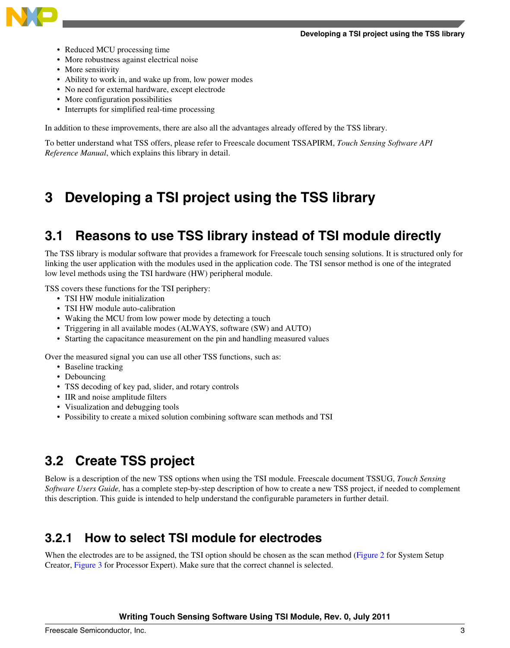<span id="page-2-0"></span>

- Reduced MCU processing time
- More robustness against electrical noise
- More sensitivity
- Ability to work in, and wake up from, low power modes
- No need for external hardware, except electrode
- More configuration possibilities
- Interrupts for simplified real-time processing

In addition to these improvements, there are also all the advantages already offered by the TSS library.

To better understand what TSS offers, please refer to Freescale document TSSAPIRM, *Touch Sensing Software API Reference Manual*, which explains this library in detail.

## **3 Developing a TSI project using the TSS library**

## **3.1 Reasons to use TSS library instead of TSI module directly**

The TSS library is modular software that provides a framework for Freescale touch sensing solutions. It is structured only for linking the user application with the modules used in the application code. The TSI sensor method is one of the integrated low level methods using the TSI hardware (HW) peripheral module.

TSS covers these functions for the TSI periphery:

- TSI HW module initialization
- TSI HW module auto-calibration
- Waking the MCU from low power mode by detecting a touch
- Triggering in all available modes (ALWAYS, software (SW) and AUTO)
- Starting the capacitance measurement on the pin and handling measured values

Over the measured signal you can use all other TSS functions, such as:

- Baseline tracking
- Debouncing
- TSS decoding of key pad, slider, and rotary controls
- IIR and noise amplitude filters
- Visualization and debugging tools
- Possibility to create a mixed solution combining software scan methods and TSI

## **3.2 Create TSS project**

Below is a description of the new TSS options when using the TSI module. Freescale document TSSUG, *Touch Sensing Software Users Guide,* has a complete step-by-step description of how to create a new TSS project, if needed to complement this description. This guide is intended to help understand the configurable parameters in further detail.

## **3.2.1 How to select TSI module for electrodes**

When the electrodes are to be assigned, the TSI option should be chosen as the scan method ([Figure 2](#page-3-0) for System Setup Creator, [Figure 3](#page-3-0) for Processor Expert). Make sure that the correct channel is selected.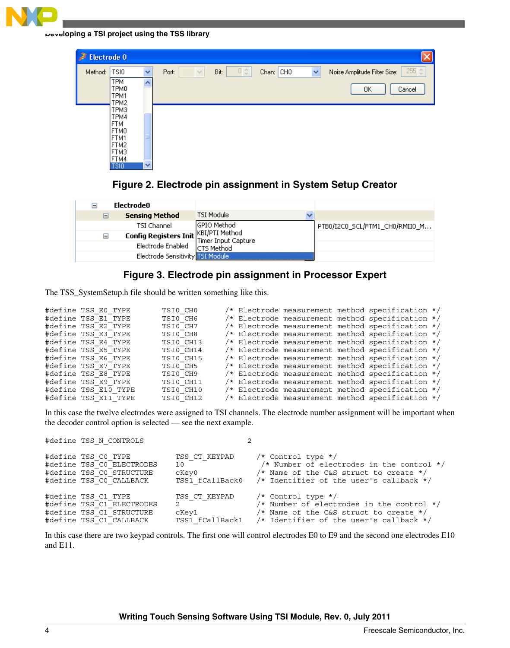<span id="page-3-0"></span>

**Developing a TSI project using the TSS library**

| $E$ Electrode 0 |                                                                               |                   |                 |                                                            |                           |                                                       |
|-----------------|-------------------------------------------------------------------------------|-------------------|-----------------|------------------------------------------------------------|---------------------------|-------------------------------------------------------|
| Method:         | <b>TSIO</b><br><b>TPM</b><br>TPM0<br>TPM1                                     | $\checkmark$<br>∧ | Port:<br>$\vee$ | $0\stackrel{\scriptscriptstyle\wedge}{\downarrow}$<br>Bit: | Chan: CHO<br>$\checkmark$ | 255 章<br>Noise Amplitude Filter Size:<br>ΟK<br>Cancel |
|                 | TPM2<br>TPM3<br>TPM4<br> FTM<br>FTM0<br>IFTM1<br>FTM2<br>FTM3<br>FTM4<br>TSI0 | $\checkmark$      |                 |                                                            |                           |                                                       |



| TSI Module<br><b>Sensing Method</b><br>⊟                         |                                |
|------------------------------------------------------------------|--------------------------------|
|                                                                  |                                |
| lGPIO Method<br>TSI Channel                                      | PTB0/I2C0_SCL/FTM1_CH0/RMII0_M |
| Config Registers Init KBI/PTI Method<br>Ξ<br>Timer Input Capture |                                |
| Electrode Enabled<br>lCTS Method                                 |                                |
| Electrode Sensitivity TSI Module                                 |                                |

## **Figure 3. Electrode pin assignment in Processor Expert**

The TSS\_SystemSetup.h file should be written something like this.

| #define TSS E0 TYPE  | TSI0 CHO  |  |  | /* Electrode measurement method specification */ |  |
|----------------------|-----------|--|--|--------------------------------------------------|--|
| #define TSS E1 TYPE  | TSI0 CH6  |  |  | /* Electrode measurement method specification */ |  |
| #define TSS E2 TYPE  | TSI0 CH7  |  |  | /* Electrode measurement method specification */ |  |
| #define TSS E3 TYPE  | TSI0 CH8  |  |  | /* Electrode measurement method specification */ |  |
| #define TSS E4 TYPE  | TSI0 CH13 |  |  | /* Electrode measurement method specification */ |  |
| #define TSS E5 TYPE  | TSI0 CH14 |  |  | /* Electrode measurement method specification */ |  |
| #define TSS E6 TYPE  | TSI0 CH15 |  |  | /* Electrode measurement method specification */ |  |
| #define TSS E7 TYPE  | TSI0 CH5  |  |  | /* Electrode measurement method specification */ |  |
| #define TSS E8 TYPE  | TSI0 CH9  |  |  | /* Electrode measurement method specification */ |  |
| #define TSS E9 TYPE  | TSI0 CH11 |  |  | /* Electrode measurement method specification */ |  |
| #define TSS E10 TYPE | TSI0 CH10 |  |  | /* Electrode measurement method specification */ |  |
| #define TSS E11 TYPE | TSI0 CH12 |  |  | /* Electrode measurement method specification */ |  |

In this case the twelve electrodes were assigned to TSI channels. The electrode number assignment will be important when the decoder control option is selected — see the next example.

| #define TSS N CONTROLS                                                                                  |                                                                                                                                                                                                                                                       |                                                                                                                                                                              |
|---------------------------------------------------------------------------------------------------------|-------------------------------------------------------------------------------------------------------------------------------------------------------------------------------------------------------------------------------------------------------|------------------------------------------------------------------------------------------------------------------------------------------------------------------------------|
| #define TSS CO TYPE<br>#define TSS CO ELECTRODES<br>#define TSS CO STRUCTURE<br>#define TSS CO CALLBACK | TSS CT KEYPAD<br>10<br>cKey0 and the control of the control of the control of the control of the control of the control of the control of the control of the control of the control of the control of the control of the control of the control of th | $/*$ Control type $*/$<br>/* Number of electrodes in the control $*/$<br>/* Name of the C&S struct to create $*/$<br>TSS1 fCallBack0 /* Identifier of the user's callback */ |
| #define TSS C1 TYPE<br>#define TSS C1 ELECTRODES<br>#define TSS C1 STRUCTURE<br>#define TSS C1 CALLBACK | TSS CT KEYPAD<br>$2 \left( \frac{1}{2} \right)$<br>cKey1 and the set of the set of the set of the set of the set of the set of the set of the set of the set of t                                                                                     | $/*$ Control type */<br>/* Number of electrodes in the control $*/$<br>/* Name of the C&S struct to create $*/$<br>TSS1 fCallBack1 /* Identifier of the user's callback */   |

In this case there are two keypad controls. The first one will control electrodes E0 to E9 and the second one electrodes E10 and E11.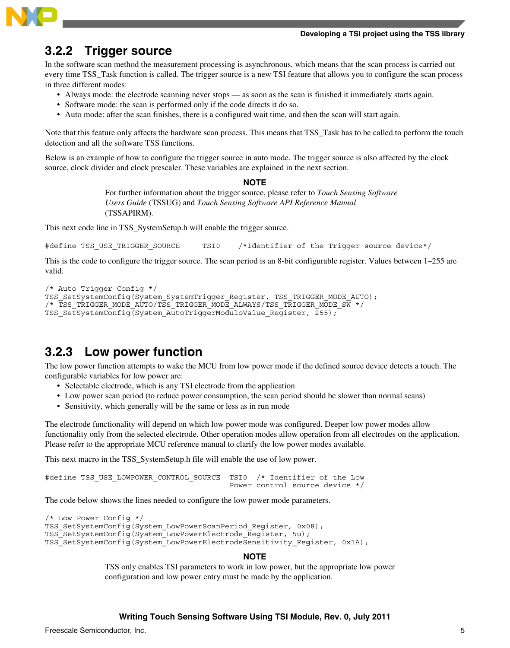#### **Developing a TSI project using the TSS library**

<span id="page-4-0"></span>

## **3.2.2 Trigger source**

In the software scan method the measurement processing is asynchronous, which means that the scan process is carried out every time TSS\_Task function is called. The trigger source is a new TSI feature that allows you to configure the scan process in three different modes:

- Always mode: the electrode scanning never stops as soon as the scan is finished it immediately starts again.
- Software mode: the scan is performed only if the code directs it do so.
- Auto mode: after the scan finishes, there is a configured wait time, and then the scan will start again.

Note that this feature only affects the hardware scan process. This means that TSS\_Task has to be called to perform the touch detection and all the software TSS functions.

Below is an example of how to configure the trigger source in auto mode. The trigger source is also affected by the clock source, clock divider and clock prescaler. These variables are explained in the next section.

#### **NOTE**

For further information about the trigger source, please refer to *Touch Sensing Software Users Guide* (TSSUG) and *Touch Sensing Software API Reference Manual* (TSSAPIRM).

This next code line in TSS\_SystemSetup.h will enable the trigger source.

#define TSS USE TRIGGER SOURCE TSI0 /\*Identifier of the Trigger source device\*/

This is the code to configure the trigger source. The scan period is an 8-bit configurable register. Values between 1–255 are valid.

```
/* Auto Trigger Config */
TSS_SetSystemConfig(System_SystemTrigger_Register, TSS_TRIGGER_MODE_AUTO); 
/* TSS_TRIGGER_MODE_AUTO/TSS_TRIGGER_MODE_ALWAYS/TSS_TRIGGER_MODE_SW */ 
TSS SetSystemConfig(System AutoTriggerModuloValue Register, 255);
```
## **3.2.3 Low power function**

The low power function attempts to wake the MCU from low power mode if the defined source device detects a touch. The configurable variables for low power are:

- Selectable electrode, which is any TSI electrode from the application
- Low power scan period (to reduce power consumption, the scan period should be slower than normal scans)
- Sensitivity, which generally will be the same or less as in run mode

The electrode functionality will depend on which low power mode was configured. Deeper low power modes allow functionality only from the selected electrode. Other operation modes allow operation from all electrodes on the application. Please refer to the appropriate MCU reference manual to clarify the low power modes available.

This next macro in the TSS\_SystemSetup.h file will enable the use of low power.

```
#define TSS USE LOWPOWER CONTROL SOURCE TSI0 /* Identifier of the Low
                                          Power control source device */
```
The code below shows the lines needed to configure the low power mode parameters.

```
/* Low Power Config */
TSS_SetSystemConfig(System_LowPowerScanPeriod_Register, 0x08); 
TSS_SetSystemConfig(System_LowPowerElectrode_Register, 5u); 
TSS<sup>T</sup>SetSystemConfig(System<sup>L</sup>owPowerElectrodeSensitivity Register, 0x1A);
```
### **NOTE**

TSS only enables TSI parameters to work in low power, but the appropriate low power configuration and low power entry must be made by the application.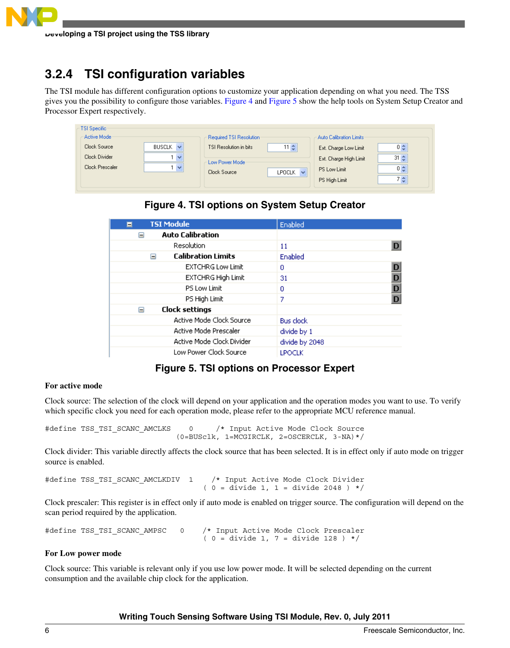## <span id="page-5-0"></span>**3.2.4 TSI configuration variables**

The TSI module has different configuration options to customize your application depending on what you need. The TSS gives you the possibility to configure those variables. Figure 4 and Figure 5 show the help tools on System Setup Creator and Processor Expert respectively.

| TSI Specific-<br>Active Mode                     |                                            | Required TSI Resolution                                  |                            | Auto Calibration Limits:                                                         |                                                |
|--------------------------------------------------|--------------------------------------------|----------------------------------------------------------|----------------------------|----------------------------------------------------------------------------------|------------------------------------------------|
| Clock Source<br>Clock Divider<br>Clock Prescaler | <b>BUSCLK</b><br>$\checkmark$<br>∣∀<br>l v | TSI Resolution in bits<br>Low Power Mode<br>Clock Source | $11 \div$<br>LPOCLK $\vee$ | Ext. Charge Low Limit<br>Ext. Charge High Limit<br>PS Low Limit<br>PS High Limit | $0\frac{A}{2}$<br>$31 \div$<br>$0\simeq$<br>7층 |

**Figure 4. TSI options on System Setup Creator**

| <b>TSI Module</b><br>Ξ                  | Enabled            |
|-----------------------------------------|--------------------|
| <b>Auto Calibration</b><br>⊟            |                    |
| Resolution                              | 11                 |
| <b>Calibration Limits</b><br>⊟          | Enabled            |
| <b>EXTCHRG Low Limit</b>                | D<br>0             |
| <b>EXTCHRG High Limit</b>               | 31                 |
| PS Low Limit                            | $\frac{D}{D}$<br>0 |
| PS High Limit                           | 7                  |
| <b>Clock settings</b><br>$\blacksquare$ |                    |
| Active Mode Clock Source                | <b>Bus clock</b>   |
| Active Mode Prescaler                   | divide by 1        |
| Active Mode Clock Divider               | divide by 2048     |
| Low Power Clock Source                  | <b>LPOCLK</b>      |

## **Figure 5. TSI options on Processor Expert**

### **For active mode**

Clock source: The selection of the clock will depend on your application and the operation modes you want to use. To verify which specific clock you need for each operation mode, please refer to the appropriate MCU reference manual.

#define TSS TSI SCANC AMCLKS 0 /\* Input Active Mode Clock Source (0=BUSclk, 1=MCGIRCLK, 2=OSCERCLK, 3-NA)\*/

Clock divider: This variable directly affects the clock source that has been selected. It is in effect only if auto mode on trigger source is enabled.

```
#define TSS_TSI_SCANC_AMCLKDIV 1 /* Input Active Mode Clock Divider
                                       ( 0 = \text{divide 1, 1} = \text{divide 2048 } ) */
```
Clock prescaler: This register is in effect only if auto mode is enabled on trigger source. The configuration will depend on the scan period required by the application.

```
#define TSS TSI SCANC AMPSC 0 /* Input Active Mode Clock Prescaler
                                       ( 0 = \text{divide 1, } 7 = \text{divide 128 } ) */
```
### **For Low power mode**

Clock source: This variable is relevant only if you use low power mode. It will be selected depending on the current consumption and the available chip clock for the application.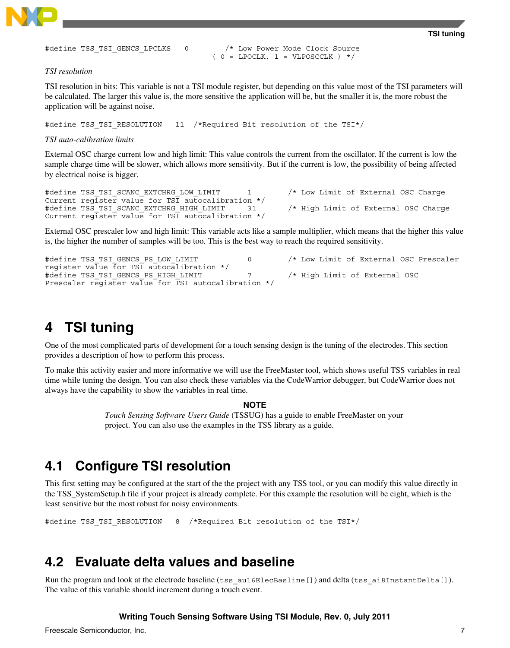<span id="page-6-0"></span>

```
TSI tuning
```
#define TSS TSI GENCS LPCLKS 0 /\* Low Power Mode Clock Source  $(0 = LPOCLK, 1 = VIPOSCCLK ) * /$ 

#### *TSI resolution*

TSI resolution in bits: This variable is not a TSI module register, but depending on this value most of the TSI parameters will be calculated. The larger this value is, the more sensitive the application will be, but the smaller it is, the more robust the application will be against noise.

#define TSS TSI RESOLUTION 11 /\*Required Bit resolution of the TSI\*/

#### *TSI auto-calibration limits*

External OSC charge current low and high limit: This value controls the current from the oscillator. If the current is low the sample charge time will be slower, which allows more sensitivity. But if the current is low, the possibility of being affected by electrical noise is bigger.

#define TSS TSI SCANC EXTCHRG LOW LIMIT 1 /\* Low Limit of External OSC Charge Current register value for TSI autocalibration \*/ #define TSS TSI SCANC EXTCHRG HIGH LIMIT 31 /\* High Limit of External OSC Charge Current register value for TSI autocalibration \*/

External OSC prescaler low and high limit: This variable acts like a sample multiplier, which means that the higher this value is, the higher the number of samples will be too. This is the best way to reach the required sensitivity.

#define TSS TSI GENCS PS LOW LIMIT  $/$  0  $/$  Low Limit of External OSC Prescaler register value for TSI autocalibration \*/ #define TSS TSI GENCS PS HIGH LIMIT 7 7 /\* High Limit of External OSC Prescaler register value for TSI autocalibration \*/

## **4 TSI tuning**

One of the most complicated parts of development for a touch sensing design is the tuning of the electrodes. This section provides a description of how to perform this process.

To make this activity easier and more informative we will use the FreeMaster tool, which shows useful TSS variables in real time while tuning the design. You can also check these variables via the CodeWarrior debugger, but CodeWarrior does not always have the capability to show the variables in real time.

#### **NOTE**

*Touch Sensing Software Users Guide* (TSSUG) has a guide to enable FreeMaster on your project. You can also use the examples in the TSS library as a guide.

## **4.1 Configure TSI resolution**

This first setting may be configured at the start of the the project with any TSS tool, or you can modify this value directly in the TSS\_SystemSetup.h file if your project is already complete. For this example the resolution will be eight, which is the least sensitive but the most robust for noisy environments.

#define TSS\_TSI\_RESOLUTION 8 /\*Required Bit resolution of the TSI\*/

## **4.2 Evaluate delta values and baseline**

Run the program and look at the electrode baseline (tss\_au16ElecBasline[]) and delta (tss\_ai8InstantDelta[]). The value of this variable should increment during a touch event.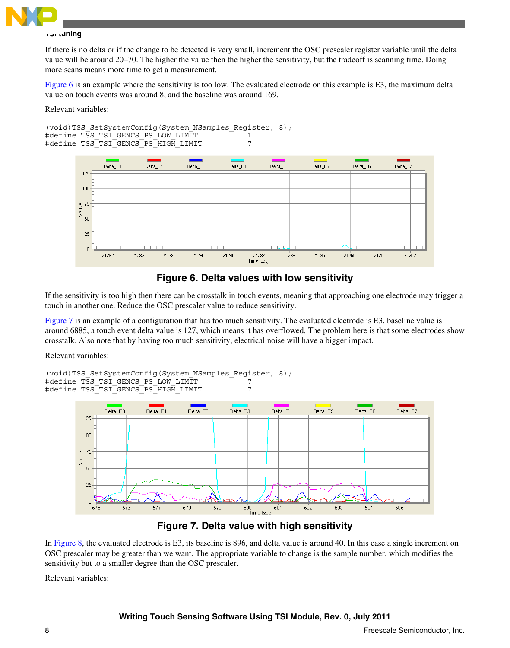

#### **TSI tuning**

If there is no delta or if the change to be detected is very small, increment the OSC prescaler register variable until the delta value will be around 20–70. The higher the value then the higher the sensitivity, but the tradeoff is scanning time. Doing more scans means more time to get a measurement.

Figure 6 is an example where the sensitivity is too low. The evaluated electrode on this example is E3, the maximum delta value on touch events was around 8, and the baseline was around 169.

Relevant variables:



**Figure 6. Delta values with low sensitivity**

If the sensitivity is too high then there can be crosstalk in touch events, meaning that approaching one electrode may trigger a touch in another one. Reduce the OSC prescaler value to reduce sensitivity.

Figure 7 is an example of a configuration that has too much sensitivity. The evaluated electrode is E3, baseline value is around 6885, a touch event delta value is 127, which means it has overflowed. The problem here is that some electrodes show crosstalk. Also note that by having too much sensitivity, electrical noise will have a bigger impact.

Relevant variables:

```
(void)TSS SetSystemConfig(System NSamples Register, 8);
#define TSS_TSI_GENCS_PS_LOW_LIMIT 7
#define TSS TSI GENCS PS HIGH LIMIT
```


## **Figure 7. Delta value with high sensitivity**

In [Figure 8](#page-8-0), the evaluated electrode is E3, its baseline is 896, and delta value is around 40. In this case a single increment on OSC prescaler may be greater than we want. The appropriate variable to change is the sample number, which modifies the sensitivity but to a smaller degree than the OSC prescaler.

Relevant variables: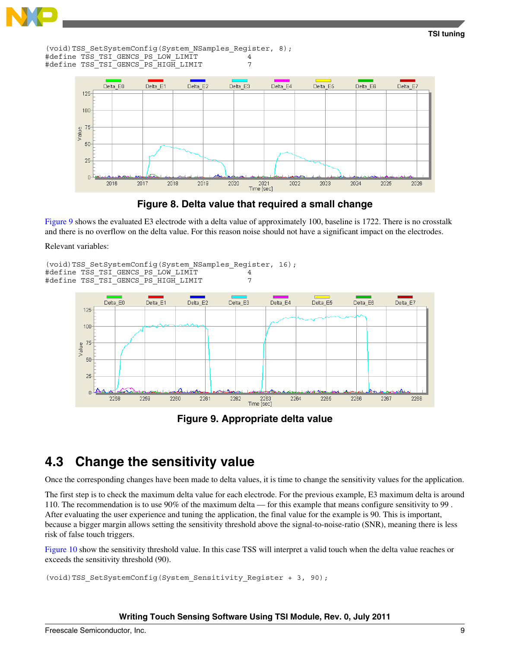<span id="page-8-0"></span>

**TSI tuning**

(void)TSS SetSystemConfig(System NSamples Register, 8); #define TSS\_TSI\_GENCS\_PS\_LOW\_LIMIT 4 #define TSS TSI GENCS PS HIGH LIMIT





Figure 9 shows the evaluated E3 electrode with a delta value of approximately 100, baseline is 1722. There is no crosstalk and there is no overflow on the delta value. For this reason noise should not have a significant impact on the electrodes.

Relevant variables:

```
(void)TSS SetSystemConfig(System NSamples Register, 16);
#define TSS_TSI_GENCS_PS_LOW_LIMIT 4<br>#define TSS_TSI_GENCS_PS_HIGH_LIMIT 4
#define TSS TSI GENCS PS HIGH LIMIT
```


**Figure 9. Appropriate delta value**

## **4.3 Change the sensitivity value**

Once the corresponding changes have been made to delta values, it is time to change the sensitivity values for the application.

The first step is to check the maximum delta value for each electrode. For the previous example, E3 maximum delta is around 110. The recommendation is to use 90% of the maximum delta — for this example that means configure sensitivity to 99 . After evaluating the user experience and tuning the application, the final value for the example is 90. This is important, because a bigger margin allows setting the sensitivity threshold above the signal-to-noise-ratio (SNR), meaning there is less risk of false touch triggers.

[Figure 10](#page-9-0) show the sensitivity threshold value. In this case TSS will interpret a valid touch when the delta value reaches or exceeds the sensitivity threshold (90).

```
(void)TSS_SetSystemConfig(System_Sensitivity_Register + 3, 90);
```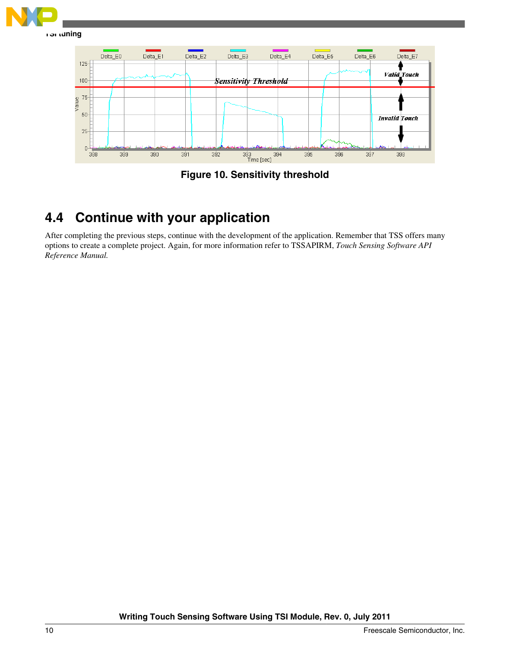<span id="page-9-0"></span>



## **4.4 Continue with your application**

After completing the previous steps, continue with the development of the application. Remember that TSS offers many options to create a complete project. Again, for more information refer to TSSAPIRM, *Touch Sensing Software API Reference Manual.*